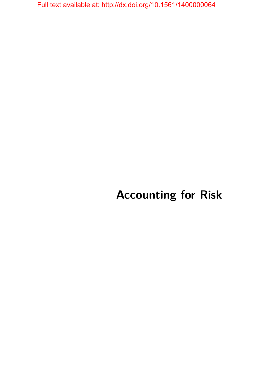# **Accounting for Risk**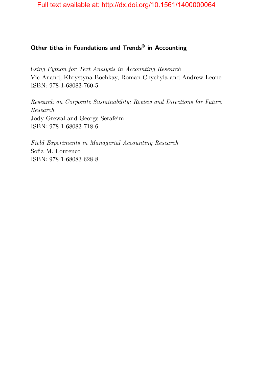## **Other titles in Foundations and Trends® in Accounting**

*Using Python for Text Analysis in Accounting Research* Vic Anand, Khrystyna Bochkay, Roman Chychyla and Andrew Leone ISBN: 978-1-68083-760-5

*Research on Corporate Sustainability: Review and Directions for Future Research* Jody Grewal and George Serafeim ISBN: 978-1-68083-718-6

*Field Experiments in Managerial Accounting Research* Sofia M. Lourenco ISBN: 978-1-68083-628-8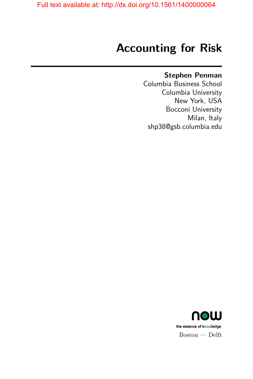# **Accounting for Risk**

## **Stephen Penman**

Columbia Business School Columbia University New York, USA Bocconi University Milan, Italy shp38@gsb.columbia.edu

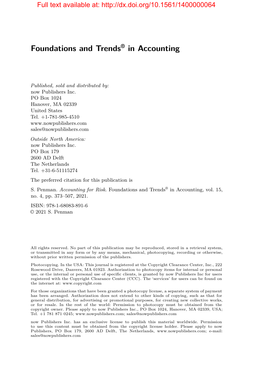# **Foundations and Trends® in Accounting**

*Published, sold and distributed by:* now Publishers Inc. PO Box 1024 Hanover, MA 02339 United States Tel. +1-781-985-4510 www.nowpublishers.com sales@nowpublishers.com

*Outside North America:* now Publishers Inc. PO Box 179 2600 AD Delft The Netherlands Tel. +31-6-51115274

The preferred citation for this publication is

S. Penman. *Accounting for Risk*. Foundations and Trends® in Accounting, vol. 15, no. 4, pp. 373–507, 2021.

ISBN: 978-1-68083-891-6 © 2021 S. Penman

All rights reserved. No part of this publication may be reproduced, stored in a retrieval system, or transmitted in any form or by any means, mechanical, photocopying, recording or otherwise, without prior written permission of the publishers.

Photocopying. In the USA: This journal is registered at the Copyright Clearance Center, Inc., 222 Rosewood Drive, Danvers, MA 01923. Authorization to photocopy items for internal or personal use, or the internal or personal use of specific clients, is granted by now Publishers Inc for users registered with the Copyright Clearance Center (CCC). The 'services' for users can be found on the internet at: www.copyright.com

For those organizations that have been granted a photocopy license, a separate system of payment has been arranged. Authorization does not extend to other kinds of copying, such as that for general distribution, for advertising or promotional purposes, for creating new collective works, or for resale. In the rest of the world: Permission to photocopy must be obtained from the copyright owner. Please apply to now Publishers Inc., PO Box 1024, Hanover, MA 02339, USA; Tel. +1 781 871 0245; www.nowpublishers.com; sales@nowpublishers.com

now Publishers Inc. has an exclusive license to publish this material worldwide. Permission to use this content must be obtained from the copyright license holder. Please apply to now Publishers, PO Box 179, 2600 AD Delft, The Netherlands, www.nowpublishers.com; e-mail: sales@nowpublishers.com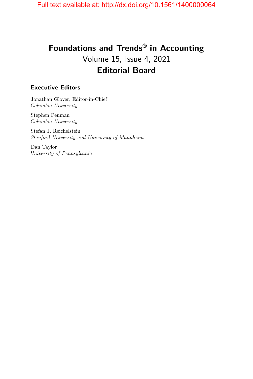# **Foundations and Trends® in Accounting** Volume 15, Issue 4, 2021 **Editorial Board**

#### **Executive Editors**

Jonathan Glover, Editor-in-Chief *Columbia University*

Stephen Penman *Columbia University*

Stefan J. Reichelstein *Stanford University and University of Mannheim*

Dan Taylor *University of Pennsylvania*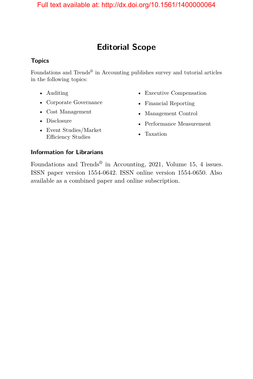# **Editorial Scope**

### **Topics**

Foundations and Trends<sup>®</sup> in Accounting publishes survey and tutorial articles in the following topics:

- Auditing
- Corporate Governance
- Cost Management
- Disclosure
- Event Studies/Market Efficiency Studies
- Executive Compensation
- Financial Reporting
- Management Control
- Performance Measurement
- Taxation

### **Information for Librarians**

Foundations and Trends® in Accounting, 2021, Volume 15, 4 issues. ISSN paper version 1554-0642. ISSN online version 1554-0650. Also available as a combined paper and online subscription.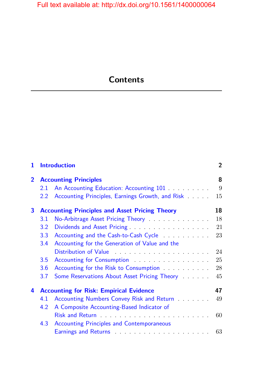# **Contents**

| 1              |                                                       | <b>Introduction</b>                                                                                            | $\overline{2}$ |
|----------------|-------------------------------------------------------|----------------------------------------------------------------------------------------------------------------|----------------|
| $\overline{2}$ | <b>Accounting Principles</b>                          |                                                                                                                |                |
|                | 2.1                                                   | An Accounting Education: Accounting 101                                                                        | 9              |
|                | 2.2                                                   | Accounting Principles, Earnings Growth, and Risk                                                               | 15             |
| 3              | <b>Accounting Principles and Asset Pricing Theory</b> |                                                                                                                | 18             |
|                | 3.1                                                   | No-Arbitrage Asset Pricing Theory                                                                              | 18             |
|                | 3.2                                                   |                                                                                                                | 21             |
|                | 3.3                                                   | Accounting and the Cash-to-Cash Cycle                                                                          | 23             |
|                | 3.4                                                   | Accounting for the Generation of Value and the                                                                 |                |
|                |                                                       |                                                                                                                | 24             |
|                | 3.5                                                   | Accounting for Consumption                                                                                     | 25             |
|                | 3.6                                                   | Accounting for the Risk to Consumption <b>Constanting</b> for the Risk to Consumption                          | 28             |
|                | 3.7                                                   | Some Reservations About Asset Pricing Theory                                                                   | 45             |
| 4              | <b>Accounting for Risk: Empirical Evidence</b>        |                                                                                                                |                |
|                | 4.1                                                   | Accounting Numbers Convey Risk and Return                                                                      | 49             |
|                | 4.2                                                   | A Composite Accounting-Based Indicator of                                                                      |                |
|                |                                                       | Risk and Return <b>Exercise 2018</b> Risk and Return <b>Exercise 2018</b>                                      | 60             |
|                | 4.3                                                   | <b>Accounting Principles and Contemporaneous</b>                                                               |                |
|                |                                                       | Earnings and Returns entertainment and the set of the set of the set of the set of the set of the set of the s |                |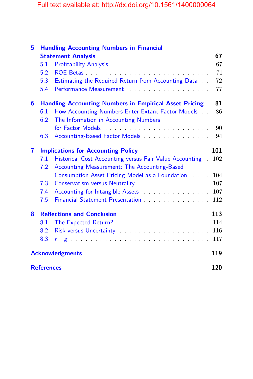| 5 | <b>Handling Accounting Numbers in Financial</b>               |                                                                                                                                                                                                                                |     |  |
|---|---------------------------------------------------------------|--------------------------------------------------------------------------------------------------------------------------------------------------------------------------------------------------------------------------------|-----|--|
|   |                                                               | <b>Statement Analysis</b>                                                                                                                                                                                                      | 67  |  |
|   | 5.1                                                           |                                                                                                                                                                                                                                | 67  |  |
|   | 5.2                                                           |                                                                                                                                                                                                                                | 71  |  |
|   | 5.3                                                           | Estimating the Required Return from Accounting Data                                                                                                                                                                            | 72  |  |
|   | 5.4                                                           | Performance Measurement                                                                                                                                                                                                        | 77  |  |
| 6 | <b>Handling Accounting Numbers in Empirical Asset Pricing</b> |                                                                                                                                                                                                                                |     |  |
|   | 6.1                                                           | How Accounting Numbers Enter Extant Factor Models                                                                                                                                                                              | 86  |  |
|   | 6.2                                                           | The Information in Accounting Numbers                                                                                                                                                                                          |     |  |
|   |                                                               |                                                                                                                                                                                                                                | 90  |  |
|   | 6.3                                                           |                                                                                                                                                                                                                                | 94  |  |
| 7 | <b>Implications for Accounting Policy</b>                     |                                                                                                                                                                                                                                |     |  |
|   | 7.1                                                           | Historical Cost Accounting versus Fair Value Accounting<br>$\mathbb{R}^2$                                                                                                                                                      | 102 |  |
|   | 7.2                                                           | Accounting Measurement: The Accounting-Based                                                                                                                                                                                   |     |  |
|   |                                                               | Consumption Asset Pricing Model as a Foundation                                                                                                                                                                                | 104 |  |
|   | 7.3                                                           | Conservatism versus Neutrality Alexander Alexander Alexander Alexander Alexander Alexander Alexander Alexander                                                                                                                 | 107 |  |
|   | 7.4                                                           | Accounting for Intangible Assets <b>Accounting</b> for Intangible Assets                                                                                                                                                       | 107 |  |
|   | 7.5                                                           |                                                                                                                                                                                                                                | 112 |  |
| 8 | <b>Reflections and Conclusion</b>                             |                                                                                                                                                                                                                                | 113 |  |
|   | 8.1                                                           |                                                                                                                                                                                                                                | 114 |  |
|   | 8.2                                                           | Risk versus Uncertainty Marian March 2014                                                                                                                                                                                      | 116 |  |
|   | 8.3                                                           | $r-g$ . The set of the set of the set of the set of the set of the set of the set of the set of the set of the set of the set of the set of the set of the set of the set of the set of the set of the set of the set of the s | 117 |  |
|   | <b>Acknowledgments</b>                                        |                                                                                                                                                                                                                                |     |  |
|   | <b>References</b>                                             |                                                                                                                                                                                                                                |     |  |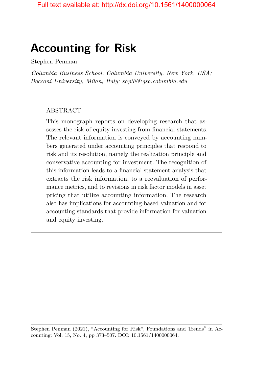# **Accounting for Risk**

Stephen Penman

*Columbia Business School, Columbia University, New York, USA; Bocconi University, Milan, Italy; shp38@gsb.columbia.edu*

#### ABSTRACT

This monograph reports on developing research that assesses the risk of equity investing from financial statements. The relevant information is conveyed by accounting numbers generated under accounting principles that respond to risk and its resolution, namely the realization principle and conservative accounting for investment. The recognition of this information leads to a financial statement analysis that extracts the risk information, to a reevaluation of performance metrics, and to revisions in risk factor models in asset pricing that utilize accounting information. The research also has implications for accounting-based valuation and for accounting standards that provide information for valuation and equity investing.

Stephen Penman (2021), "Accounting for Risk", Foundations and Trends<sup>®</sup> in Accounting: Vol. 15, No. 4, pp 373–507. DOI: 10.1561/1400000064.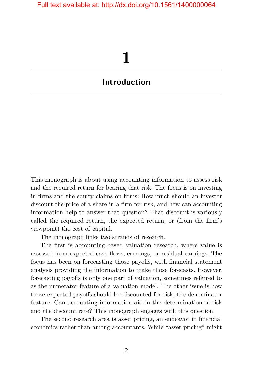# **1**

# <span id="page-9-0"></span>**Introduction**

This monograph is about using accounting information to assess risk and the required return for bearing that risk. The focus is on investing in firms and the equity claims on firms: How much should an investor discount the price of a share in a firm for risk, and how can accounting information help to answer that question? That discount is variously called the required return, the expected return, or (from the firm's viewpoint) the cost of capital.

The monograph links two strands of research.

The first is accounting-based valuation research, where value is assessed from expected cash flows, earnings, or residual earnings. The focus has been on forecasting those payoffs, with financial statement analysis providing the information to make those forecasts. However, forecasting payoffs is only one part of valuation, sometimes referred to as the numerator feature of a valuation model. The other issue is how those expected payoffs should be discounted for risk, the denominator feature. Can accounting information aid in the determination of risk and the discount rate? This monograph engages with this question.

The second research area is asset pricing, an endeavor in financial economics rather than among accountants. While "asset pricing" might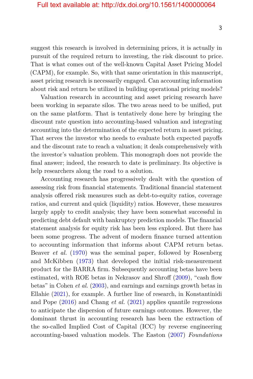suggest this research is involved in determining prices, it is actually in pursuit of the required return to investing, the risk discount to price. That is what comes out of the well-known Capital Asset Pricing Model (CAPM), for example. So, with that same orientation in this manuscript, asset pricing research is necessarily engaged. Can accounting information about risk and return be utilized in building operational pricing models?

Valuation research in accounting and asset pricing research have been working in separate silos. The two areas need to be unified, put on the same platform. That is tentatively done here by bringing the discount rate question into accounting-based valuation and integrating accounting into the determination of the expected return in asset pricing. That serves the investor who needs to evaluate both expected payoffs and the discount rate to reach a valuation; it deals comprehensively with the investor's valuation problem. This monograph does not provide the final answer; indeed, the research to date is preliminary. Its objective is help researchers along the road to a solution.

Accounting research has progressively dealt with the question of assessing risk from financial statements. Traditional financial statement analysis offered risk measures such as debt-to-equity ratios, coverage ratios, and current and quick (liquidity) ratios. However, these measures largely apply to credit analysis; they have been somewhat successful in predicting debt default with bankruptcy prediction models. The financial statement analysis for equity risk has been less explored. But there has been some progress. The advent of modern finance turned attention to accounting information that informs about CAPM return betas. Beaver *et al.* [\(1970\)](#page-17-0) was the seminal paper, followed by Rosenberg and McKibben [\(1973\)](#page-28-0) that developed the initial risk-measurement product for the BARRA firm. Subsequently accounting betas have been estimated, with ROE betas in Nekrasov and Shroff [\(2009\)](#page-25-0), "cash flow betas" in Cohen *et al.* [\(2003\)](#page-19-0), and earnings and earnings growth betas in Ellahie [\(2021\)](#page-20-0), for example. A further line of research, in Konstantinidi and Pope [\(2016\)](#page-23-0) and Chang *et al.* [\(2021\)](#page-18-0) applies quantile regressions to anticipate the dispersion of future earnings outcomes. However, the dominant thrust in accounting research has been the extraction of the so-called Implied Cost of Capital (ICC) by reverse engineering accounting-based valuation models. The Easton [\(2007\)](#page-20-1) *Foundations*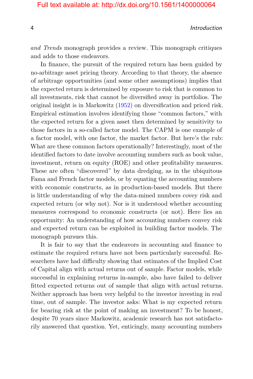4 Introduction

*and Trends* monograph provides a review. This monograph critiques and adds to those endeavors.

In finance, the pursuit of the required return has been guided by no-arbitrage asset pricing theory. According to that theory, the absence of arbitrage opportunities (and some other assumptions) implies that the expected return is determined by exposure to risk that is common to all investments, risk that cannot be diversified away in portfolios. The original insight is in Markowitz [\(1952\)](#page-24-0) on diversification and priced risk. Empirical estimation involves identifying those "common factors," with the expected return for a given asset then determined by sensitivity to those factors in a so-called factor model. The CAPM is one example of a factor model, with one factor, the market factor. But here's the rub: What are these common factors operationally? Interestingly, most of the identified factors to date involve accounting numbers such as book value, investment, return on equity (ROE) and other profitability measures. These are often "discovered" by data dredging, as in the ubiquitous Fama and French factor models, or by equating the accounting numbers with economic constructs, as in production-based models. But there is little understanding of why the data-mined numbers covey risk and expected return (or why not). Nor is it understood whether accounting measures correspond to economic constructs (or not). Here lies an opportunity: An understanding of how accounting numbers convey risk and expected return can be exploited in building factor models. The monograph pursues this.

It is fair to say that the endeavors in accounting and finance to estimate the required return have not been particularly successful. Researchers have had difficulty showing that estimates of the Implied Cost of Capital align with actual returns out of sample. Factor models, while successful in explaining returns in-sample, also have failed to deliver fitted expected returns out of sample that align with actual returns. Neither approach has been very helpful to the investor investing in real time, out of sample. The investor asks: What is my expected return for bearing risk at the point of making an investment? To be honest, despite 70 years since Markowitz, academic research has not satisfactorily answered that question. Yet, enticingly, many accounting numbers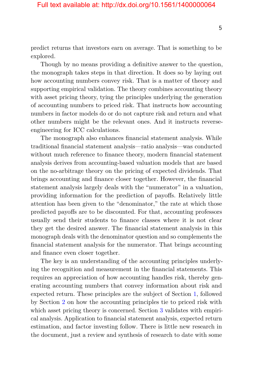predict returns that investors earn on average. That is something to be explored.

Though by no means providing a definitive answer to the question, the monograph takes steps in that direction. It does so by laying out how accounting numbers convey risk. That is a matter of theory and supporting empirical validation. The theory combines accounting theory with asset pricing theory, tying the principles underlying the generation of accounting numbers to priced risk. That instructs how accounting numbers in factor models do or do not capture risk and return and what other numbers might be the relevant ones. And it instructs reverseengineering for ICC calculations.

The monograph also enhances financial statement analysis. While traditional financial statement analysis—ratio analysis—was conducted without much reference to finance theory, modern financial statement analysis derives from accounting-based valuation models that are based on the no-arbitrage theory on the pricing of expected dividends. That brings accounting and finance closer together. However, the financial statement analysis largely deals with the "numerator" in a valuation, providing information for the prediction of payoffs. Relatively little attention has been given to the "denominator," the rate at which those predicted payoffs are to be discounted. For that, accounting professors usually send their students to finance classes where it is not clear they get the desired answer. The financial statement analysis in this monograph deals with the denominator question and so complements the financial statement analysis for the numerator. That brings accounting and finance even closer together.

The key is an understanding of the accounting principles underlying the recognition and measurement in the financial statements. This requires an appreciation of how accounting handles risk, thereby generating accounting numbers that convey information about risk and expected return. These principles are the subject of Section [1,](#page-9-0) followed by Section [2](#page--1-0) on how the accounting principles tie to priced risk with which asset pricing theory is concerned. Section [3](#page--1-0) validates with empirical analysis. Application to financial statement analysis, expected return estimation, and factor investing follow. There is little new research in the document, just a review and synthesis of research to date with some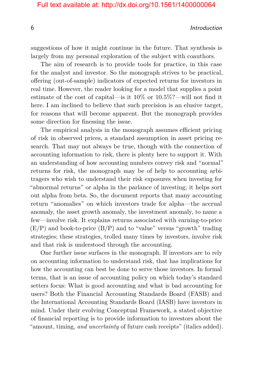#### 6 Introduction

suggestions of how it might continue in the future. That synthesis is largely from my personal exploration of the subject with coauthors.

The aim of research is to provide tools for practice, in this case for the analyst and investor. So the monograph strives to be practical, offering (out-of-sample) indicators of expected returns for investors in real time. However, the reader looking for a model that supplies a point estimate of the cost of capital—is it 10% or 10.5%?—will not find it here. I am inclined to believe that such precision is an elusive target, for reasons that will become apparent. But the monograph provides some direction for finessing the issue.

The empirical analysis in the monograph assumes efficient pricing of risk in observed prices, a standard assumption in asset pricing research. That may not always be true, though with the connection of accounting information to risk, there is plenty here to support it. With an understanding of how accounting numbers convey risk and "normal" returns for risk, the monograph may be of help to accounting arbitragers who wish to understand their risk exposures when investing for "abnormal returns" or alpha in the parlance of investing; it helps sort out alpha from beta. So, the document reports that many accounting return "anomalies" on which investors trade for alpha—the accrual anomaly, the asset growth anomaly, the investment anomaly, to name a few—involve risk. It explains returns associated with earning-to-price  $(E/P)$  and book-to-price  $(B/P)$  and to "value" versus "growth" trading strategies; these strategies, trolled many times by investors, involve risk and that risk is understood through the accounting.

One further issue surfaces in the monograph. If investors are to rely on accounting information to understand risk, that has implications for how the accounting can best be done to serve those investors. In formal terms, that is an issue of accounting policy on which today's standard setters focus: What is good accounting and what is bad accounting for users? Both the Financial Accounting Standards Board (FASB) and the International Accounting Standards Board (IASB) have investors in mind. Under their evolving Conceptual Framework, a stated objective of financial reporting is to provide information to investors about the "amount, timing, *and uncertainty* of future cash receipts" (italics added).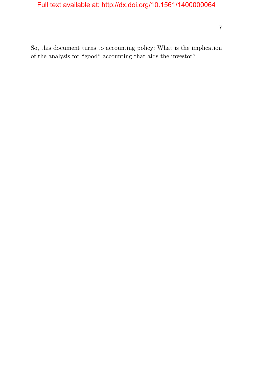So, this document turns to accounting policy: What is the implication of the analysis for "good" accounting that aids the investor?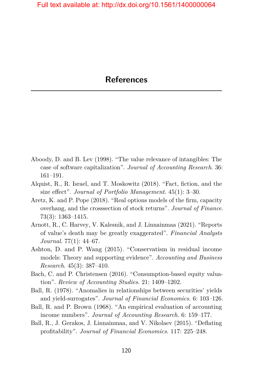- <span id="page-15-0"></span>Aboody, D. and B. Lev (1998). "The value relevance of intangibles: The case of software capitalization". *Journal of Accounting Research*. 36: 161–191.
- Alquist, R., R. Israel, and T. Moskowitz (2018). "Fact, fiction, and the size effect". *Journal of Portfolio Management*. 45(1): 3–30.
- Aretz, K. and P. Pope (2018). "Real options models of the firm, capacity overhang, and the crosssection of stock returns". *Journal of Finance*. 73(3): 1363–1415.
- Arnott, R., C. Harvey, V. Kalesnik, and J. Linnainmaa (2021). "Reports of value's death may be greatly exaggerated". *Financial Analysts Journal*. 77(1): 44–67.
- Ashton, D. and P. Wang (2015). "Conservatism in residual income models: Theory and supporting evidence". *Accounting and Business Research*. 45(3): 387–410.
- Bach, C. and P. Christensen (2016). "Consumption-based equity valuation". *Review of Accounting Studies*. 21: 1409–1202.
- Ball, R. (1978). "Anomalies in relationships between securities' yields and yield-surrogates". *Journal of Financial Economics*. 6: 103–126.
- Ball, R. and P. Brown (1968). "An empirical evaluation of accounting income numbers". *Journal of Accounting Research*. 6: 159–177.
- Ball, R., J. Gerakos, J. Linnainmaa, and V. Nikolaev (2015). "Deflating profitability". *Journal of Financial Economics*. 117: 225–248.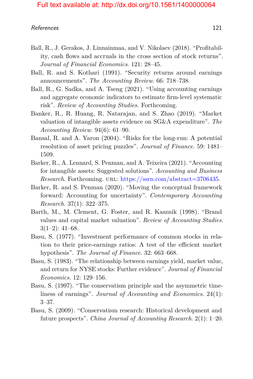- Ball, R., J. Gerakos, J. Linnainmaa, and V. Nikolaev (2018). "Profitability, cash flows and accruals in the cross section of stock returns". *Journal of Financial Economics*. 121: 28–45.
- Ball, R. and S. Kothari (1991). "Security returns around earnings announcements". *The Accounting Review*. 66: 718–738.
- Ball, R., G. Sadka, and A. Tseng (2021). "Using accounting earnings and aggregate economic indicators to estimate firm-level systematic risk". *Review of Accounting Studies.* Forthcoming.
- Banker, R., R. Huang, R. Natarajan, and S. Zhao (2019). "Market valuation of intangible assets evidence on SG&A expenditure". *The Accounting Review*. 94(6): 61–90.
- Bansal, R. and A. Yaron (2004). "Risks for the long-run: A potential resolution of asset pricing puzzles". *Journal of Finance*. 59: 1481– 1509.
- Barker, R., A. Lennard, S. Penman, and A. Teixeira (2021). "Accounting for intangible assets: Suggested solutions". *Accounting and Business Research.* Forthcoming. url: [https://ssrn.com/abstract=3706435.](https://ssrn.com/abstract=3706435)
- Barker, R. and S. Penman (2020). "Moving the conceptual framework forward: Accounting for uncertainty". *Contemporary Accounting Research*. 37(1): 322–375.
- Barth, M., M. Clement, G. Foster, and R. Kasznik (1998). "Brand values and capital market valuation". *Review of Accounting Studies*.  $3(1-2): 41-68.$
- Basu, S. (1977). "Investment performance of common stocks in relation to their price-earnings ratios: A test of the efficient market hypothesis". *The Journal of Finance*. 32: 663–668.
- Basu, S. (1983). "The relationship between earnings yield, market value, and return for NYSE stocks: Further evidence". *Journal of Financial Economics*. 12: 129–156.
- Basu, S. (1997). "The conservatism principle and the asymmetric timeliness of earnings". *Journal of Accounting and Economics*. 24(1): 3–37.
- Basu, S. (2009). "Conservatism research: Historical development and future prospects". *China Journal of Accounting Research*. 2(1): 1–20.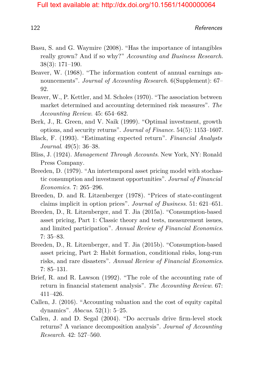- Basu, S. and G. Waymire (2008). "Has the importance of intangibles really grown? And if so why?" *Accounting and Business Research*. 38(3): 171–190.
- Beaver, W. (1968). "The information content of annual earnings announcements". *Journal of Accounting Research*. 6(Supplement): 67– 92.
- <span id="page-17-0"></span>Beaver, W., P. Kettler, and M. Scholes (1970). "The association between market determined and accounting determined risk measures". *The Accounting Review*. 45: 654–682.
- Berk, J., R. Green, and V. Naik (1999). "Optimal investment, growth options, and security returns". *Journal of Finance*. 54(5): 1153–1607.
- Black, F. (1993). "Estimating expected return". *Financial Analysts Journal*. 49(5): 36–38.
- Bliss, J. (1924). *Management Through Accounts*. New York, NY: Ronald Press Company.
- Breeden, D. (1979). "An intertemporal asset pricing model with stochastic consumption and investment opportunities". *Journal of Financial Economics*. 7: 265–296.
- Breeden, D. and R. Litzenberger (1978). "Prices of state-contingent claims implicit in option prices". *Journal of Business*. 51: 621–651.
- Breeden, D., R. Litzenberger, and T. Jia (2015a). "Consumption-based asset pricing, Part 1: Classic theory and tests, measurement issues, and limited participation". *Annual Review of Financial Economics*. 7: 35–83.
- Breeden, D., R. Litzenberger, and T. Jia (2015b). "Consumption-based asset pricing, Part 2: Habit formation, conditional risks, long-run risks, and rare disasters". *Annual Review of Financial Economics*. 7: 85–131.
- Brief, R. and R. Lawson (1992). "The role of the accounting rate of return in financial statement analysis". *The Accounting Review*. 67: 411–426.
- Callen, J. (2016). "Accounting valuation and the cost of equity capital dynamics". *Abacus*. 52(1): 5–25.
- Callen, J. and D. Segal (2004). "Do accruals drive firm-level stock returns? A variance decomposition analysis". *Journal of Accounting Research*. 42: 527–560.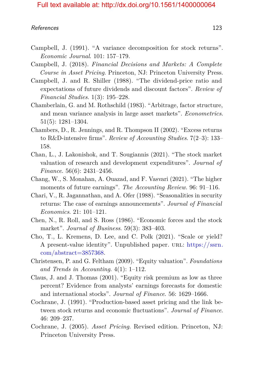- Campbell, J. (1991). "A variance decomposition for stock returns". *Economic Journal*. 101: 157–179.
- Campbell, J. (2018). *Financial Decisions and Markets: A Complete Course in Asset Pricing*. Princeton, NJ: Princeton University Press.
- Campbell, J. and R. Shiller (1988). "The dividend-price ratio and expectations of future dividends and discount factors". *Review of Financial Studies*. 1(3): 195–228.
- Chamberlain, G. and M. Rothschild (1983). "Arbitrage, factor structure, and mean variance analysis in large asset markets". *Econometrics*. 51(5): 1281–1304.
- Chambers, D., R. Jennings, and R. Thompson II (2002). "Excess returns to R&D-intensive firms". *Review of Accounting Studies*. 7(2–3): 133– 158.
- Chan, L., J. Lakonishok, and T. Sougiannis (2021). "The stock market valuation of research and development expenditures". *Journal of Finance*. 56(6): 2431–2456.
- <span id="page-18-0"></span>Chang, W., S. Monahan, A. Ouazad, and F. Vasvari (2021). "The higher moments of future earnings". *The Accounting Review*. 96: 91–116.
- Chari, V., R. Jagannathan, and A. Ofer (1988). "Seasonalities in security returns: The case of earnings announcements". *Journal of Financial Economics*. 21: 101–121.
- Chen, N., R. Roll, and S. Ross (1986). "Economic forces and the stock market". *Journal of Business*. 59(3): 383–403.
- Cho, T., L. Kremens, D. Lee, and C. Polk (2021). "Scale or yield? A present-value identity". Unpublished paper. URL: [https://ssrn.](https://ssrn.com/abstract=3857368) [com/abstract=3857368.](https://ssrn.com/abstract=3857368)
- Christensen, P. and G. Feltham (2009). "Equity valuation". *Foundations and Trends in Accounting*. 4(1): 1–112.
- Claus, J. and J. Thomas (2001). "Equity risk premium as low as three percent? Evidence from analysts' earnings forecasts for domestic and international stocks". *Journal of Finance*. 56: 1629–1666.
- Cochrane, J. (1991). "Production-based asset pricing and the link between stock returns and economic fluctuations". *Journal of Finance*. 46: 209–237.
- Cochrane, J. (2005). *Asset Pricing*. Revised edition. Princeton, NJ: Princeton University Press.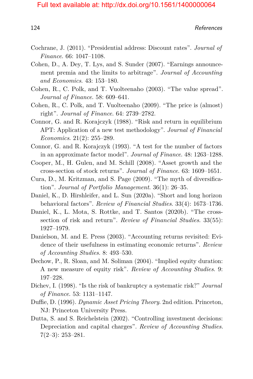- Cochrane, J. (2011). "Presidential address: Discount rates". *Journal of Finance*. 66: 1047–1108.
- Cohen, D., A. Dey, T. Lys, and S. Sunder (2007). "Earnings announcement premia and the limits to arbitrage". *Journal of Accounting and Economics*. 43: 153–180.
- <span id="page-19-0"></span>Cohen, R., C. Polk, and T. Vuolteenaho (2003). "The value spread". *Journal of Finance*. 58: 609–641.
- Cohen, R., C. Polk, and T. Vuolteenaho (2009). "The price is (almost) right". *Journal of Finance*. 64: 2739–2782.
- Connor, G. and R. Korajczyk (1988). "Risk and return in equilibrium APT: Application of a new test methodology". *Journal of Financial Economics*. 21(2): 255–289.
- Connor, G. and R. Korajczyk (1993). "A test for the number of factors in an approximate factor model". *Journal of Finance*. 48: 1263–1288.
- Cooper, M., H. Gulen, and M. Schill (2008). "Asset growth and the cross-section of stock returns". *Journal of Finance*. 63: 1609–1651.
- Cura, D., M. Kritzman, and S. Page (2009). "The myth of diversification". *Journal of Portfolio Management*. 36(1): 26–35.
- Daniel, K., D. Hirshleifer, and L. Sun (2020a). "Short and long horizon behavioral factors". *Review of Financial Studies*. 33(4): 1673–1736.
- Daniel, K., L. Mota, S. Rottke, and T. Santos (2020b). "The crosssection of risk and return". *Review of Financial Studies*. 33(55): 1927–1979.
- Danielson, M. and E. Press (2003). "Accounting returns revisited: Evidence of their usefulness in estimating economic returns". *Review of Accounting Studies*. 8: 493–530.
- Dechow, P., R. Sloan, and M. Soliman (2004). "Implied equity duration: A new measure of equity risk". *Review of Accounting Studies*. 9: 197–228.
- Dichev, I. (1998). "Is the risk of bankruptcy a systematic risk?" *Journal of Finance*. 53: 1131–1147.
- Duffie, D. (1996). *Dynamic Asset Pricing Theory*. 2nd edition. Princeton, NJ: Princeton University Press.
- Dutta, S. and S. Reichelstein (2002). "Controlling investment decisions: Depreciation and capital charges". *Review of Accounting Studies*.  $7(2-3): 253-281.$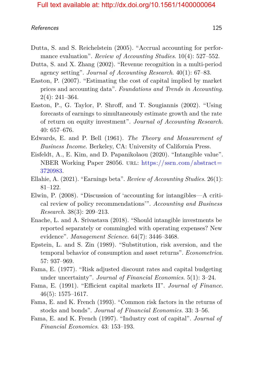#### References and the set of the set of the set of the set of the set of the set of the set of the set of the set of the set of the set of the set of the set of the set of the set of the set of the set of the set of the set o

- Dutta, S. and S. Reichelstein (2005). "Accrual accounting for performance evaluation". *Review of Accounting Studies*. 10(4): 527–552.
- Dutta, S. and X. Zhang (2002). "Revenue recognition in a multi-period agency setting". *Journal of Accounting Research*. 40(1): 67–83.
- <span id="page-20-1"></span>Easton, P. (2007). "Estimating the cost of capital implied by market prices and accounting data". *Foundations and Trends in Accounting*. 2(4): 241–364.
- Easton, P., G. Taylor, P. Shroff, and T. Sougiannis (2002). "Using forecasts of earnings to simultaneously estimate growth and the rate of return on equity investment". *Journal of Accounting Research*. 40: 657–676.
- Edwards, E. and P. Bell (1961). *The Theory and Measurement of Business Income*. Berkeley, CA: University of California Press.
- Eisfeldt, A., E. Kim, and D. Papanikolaou (2020). "Intangible value". NBER Working Paper 28056. URL: [https://ssrn.com/abstract=](https://ssrn.com/abstract=3720983) [3720983.](https://ssrn.com/abstract=3720983)
- <span id="page-20-0"></span>Ellahie, A. (2021). "Earnings beta". *Review of Accounting Studies*. 26(1): 81–122.
- Elwin, P. (2008). "Discussion of 'accounting for intangibles—A critical review of policy recommendations'". *Accounting and Business Research*. 38(3): 209–213.
- Enache, L. and A. Srivastava (2018). "Should intangible investments be reported separately or commingled with operating expenses? New evidence". *Management Science*. 64(7): 3446–3468.
- Epstein, L. and S. Zin (1989). "Substitution, risk aversion, and the temporal behavior of consumption and asset returns". *Econometrica*. 57: 937–969.
- Fama, E. (1977). "Risk adjusted discount rates and capital budgeting under uncertainty". *Journal of Financial Economics*. 5(1): 3–24.
- Fama, E. (1991). "Efficient capital markets II". *Journal of Finance*. 46(5): 1575–1617.
- Fama, E. and K. French (1993). "Common risk factors in the returns of stocks and bonds". *Journal of Financial Economics*. 33: 3–56.
- Fama, E. and K. French (1997). "Industry cost of capital". *Journal of Financial Economics*. 43: 153–193.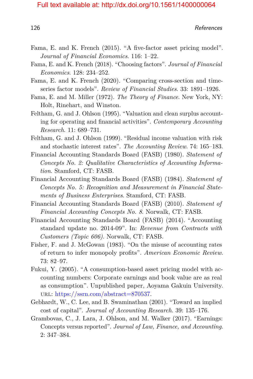- Fama, E. and K. French (2015). "A five-factor asset pricing model". *Journal of Financial Economics*. 116: 1–22.
- Fama, E. and K. French (2018). "Choosing factors". *Journal of Financial Economics*. 128: 234–252.
- Fama, E. and K. French (2020). "Comparing cross-section and timeseries factor models". *Review of Financial Studies*. 33: 1891–1926.
- Fama, E. and M. Miller (1972). *The Theory of Finance*. New York, NY: Holt, Rinehart, and Winston.
- Feltham, G. and J. Ohlson (1995). "Valuation and clean surplus accounting for operating and financial activities". *Contemporary Accounting Research*. 11: 689–731.
- Feltham, G. and J. Ohlson (1999). "Residual income valuation with risk and stochastic interest rates". *The Accounting Review*. 74: 165–183.
- Financial Accounting Standards Board (FASB) (1980). *Statement of Concepts No. 2: Qualitative Characteristics of Accounting Information*. Stamford, CT: FASB.
- Financial Accounting Standards Board (FASB) (1984). *Statement of Concepts No. 5: Recognition and Measurement in Financial Statements of Business Enterprises*. Stamford, CT: FASB.
- Financial Accounting Standards Board (FASB) (2010). *Statement of Financial Accounting Concepts No. 8*. Norwalk, CT: FASB.
- Financial Accounting Standards Board (FASB) (2014). "Accounting standard update no. 2014-09". In: *Revenue from Contracts with Customers (Topic 606)*. Norwalk, CT: FASB.
- Fisher, F. and J. McGowan (1983). "On the misuse of accounting rates of return to infer monopoly profits". *American Economic Review*. 73: 82–97.
- Fukui, Y. (2005). "A consumption-based asset pricing model with accounting numbers: Corporate earnings and book value are as real as consumption". Unpublished paper, Aoyama Gakuin University. url: [https://ssrn.com/abstract=870537.](https://ssrn.com/abstract=870537)
- Gebhardt, W., C. Lee, and B. Swaminathan (2001). "Toward an implied cost of capital". *Journal of Accounting Research*. 39: 135–176.
- Grambovas, C., J. Lara, J. Ohlson, and M. Walker (2017). "Earnings: Concepts versus reported". *Journal of Law, Finance, and Accounting*. 2: 347–384.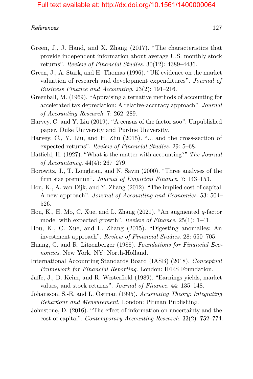#### References 2022 127

- Green, J., J. Hand, and X. Zhang (2017). "The characteristics that provide independent information about average U.S. monthly stock returns". *Review of Financial Studies*. 30(12): 4389–4436.
- Green, J., A. Stark, and H. Thomas (1996). "UK evidence on the market valuation of research and development expenditures". *Journal of Business Finance and Accounting*. 23(2): 191–216.
- Greenball, M. (1969). "Appraising alternative methods of accounting for accelerated tax depreciation: A relative-accuracy approach". *Journal of Accounting Research*. 7: 262–289.
- Harvey, C. and Y. Liu (2019). "A census of the factor zoo". Unpublished paper, Duke University and Purdue University.
- Harvey, C., Y. Liu, and H. Zhu (2015). "... and the cross-section of expected returns". *Review of Financial Studies*. 29: 5–68.
- Hatfield, H. (1927). "What is the matter with accounting?" *The Journal of Accountancy*. 44(4): 267–279.
- Horowitz, J., T. Loughran, and N. Savin (2000). "Three analyses of the firm size premium". *Journal of Empirical Finance*. 7: 143–153.
- Hou, K., A. van Dijk, and Y. Zhang (2012). "The implied cost of capital: A new approach". *Journal of Accounting and Economics*. 53: 504– 526.
- Hou, K., H. Mo, C. Xue, and L. Zhang (2021). "An augmented *q*-factor model with expected growth". *Review of Finance*. 25(1): 1–41.
- Hou, K., C. Xue, and L. Zhang (2015). "Digesting anomalies: An investment approach". *Review of Financial Studies*. 28: 650–705.
- Huang, C. and R. Litzenberger (1988). *Foundations for Financial Economics*. New York, NY: North-Holland.
- International Accounting Standards Board (IASB) (2018). *Conceptual Framework for Financial Reporting*. London: IFRS Foundation.
- Jaffe, J., D. Keim, and R. Westerfield (1989). "Earnings yields, market values, and stock returns". *Journal of Finance*. 44: 135–148.
- Johansson, S.-E. and L. Östman (1995). *Accounting Theory: Integrating Behaviour and Measurement*. London: Pitman Publishing.
- Johnstone, D. (2016). "The effect of information on uncertainty and the cost of capital". *Contemporary Accounting Research*. 33(2): 752–774.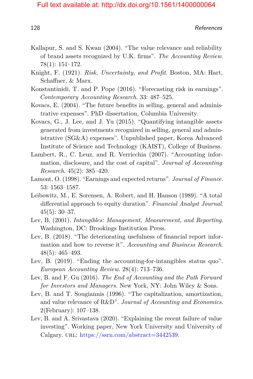- Kallapur, S. and S. Kwan (2004). "The value relevance and reliability of brand assets recognized by U.K. firms". *The Accounting Review*. 78(1): 151–172.
- Knight, F. (1921). *Risk, Uncertainty, and Profit*. Boston, MA: Hart, Schaffner, & Marx.
- <span id="page-23-0"></span>Konstantinidi, T. and P. Pope (2016). "Forecasting risk in earnings". *Contemporary Accounting Research*. 33: 487–525.
- Kovacs, E. (2004). "The future benefits in selling, general and administrative expenses". PhD dissertation, Columbia University.
- Kovacs, G., J. Lee, and J. Yu (2015). "Quantifying intangible assets generated from investments recognized in selling, general and administrative (SG&A) expenses". Unpublished paper, Korea Advanced Institute of Science and Technology (KAIST), College of Business.
- Lambert, R., C. Leuz, and R. Verricchia (2007). "Accounting information, disclosure, and the cost of capital". *Journal of Accounting Research*. 45(2): 385–420.
- Lamont, O. (1998). "Earnings and expected returns". *Journal of Finance*. 53: 1563–1587.
- Leibowitz, M., E. Sorensen, A. Robert, and H. Hanson (1989). "A total differential approach to equity duration". *Financial Analyst Journal*. 45(5): 30–37.
- Lev, B. (2001). *Intangibles: Management, Measurement, and Reporting*. Washington, DC: Brookings Institution Press.
- Lev, B. (2018). "The deteriorating usefulness of financial report information and how to reverse it". *Accounting and Business Research*. 48(5): 465–493.
- Lev, B. (2019). "Ending the accounting-for-intangibles status quo". *European Accounting Review*. 28(4): 713–736.
- Lev, B. and F. Gu (2016). *The End of Accounting and the Path Forward for Investors and Managers*. New York, NY: John Wiley & Sons.
- Lev, B. and T. Sougiannis (1996). "The capitalization, amortization, and value relevance of R&D". *Journal of Accounting and Economics*. 2(February): 107–138.
- Lev, B. and A. Srivastava (2020). "Explaining the recent failure of value investing". Working paper, New York University and University of Calgary. URL: [https://ssrn.com/abstract=3442539.](https://ssrn.com/abstract=3442539)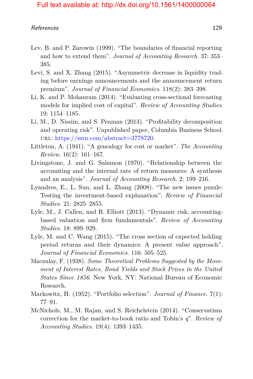#### References and the set of the set of the set of the set of the set of the set of the set of the set of the set of the set of the set of the set of the set of the set of the set of the set of the set of the set of the set o

- Lev, B. and P. Zarowin (1999). "The boundaries of financial reporting and how to extend them". *Journal of Accounting Research*. 37: 353– 385.
- Levi, S. and X. Zhang (2015). "Asymmetric decrease in liquidity trading before earnings announcements and the announcement return premium". *Journal of Financial Economics*. 118(2): 383–398.
- Li, K. and P. Mohanram (2014). "Evaluating cross-sectional forecasting models for implied cost of capital". *Review of Accounting Studies*. 19: 1154–1185.
- Li, M., D. Nissim, and S. Penman (2013). "Profitability decomposition and operating risk". Unpublished paper, Columbia Business School. url: [https://ssrn.com/abstract=3778720.](https://ssrn.com/abstract=3778720)
- Littleton, A. (1941). "A genealogy for cost or market". *The Accounting Review*. 16(2): 161–167.
- Livingstone, J. and G. Salamon (1970). "Relationship between the accounting and the internal rate of return measures: A synthesis and an analysis". *Journal of Accounting Research*. 2: 199–216.
- Lyandres, E., L. Sun, and L. Zhang (2008). "The new issues puzzle: Testing the investment-based explanation". *Review of Financial Studies*. 21: 2825–2855.
- Lyle, M., J. Callen, and R. Elliott (2013). "Dynamic risk, accountingbased valuation and firm fundamentals". *Review of Accounting Studies*. 18: 899–929.
- Lyle, M. and C. Wang (2015). "The cross section of expected holding period returns and their dynamics: A present value approach". *Journal of Financial Economics*. 116: 505–525.
- Macaulay, F. (1938). *Some Theoretical Problems Suggested by the Movement of Interest Rates, Bond Yields and Stock Prices in the United States Since 1856*. New York, NY: National Bureau of Economic Research.
- <span id="page-24-0"></span>Markowitz, H. (1952). "Portfolio selection". *Journal of Finance*. 7(1): 77–91.
- McNichols, M., M. Rajan, and S. Reichelstein (2014). "Conservatism correction for the market-to-book ratio and Tobin's *q*". *Review of Accounting Studies*. 19(4): 1393–1435.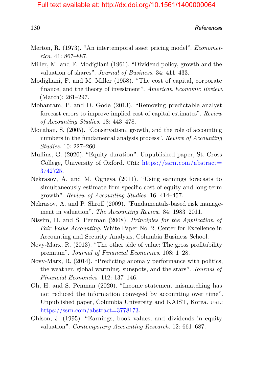- Merton, R. (1973). "An intertemporal asset pricing model". *Econometrica*. 41: 867–887.
- Miller, M. and F. Modigilani (1961). "Dividend policy, growth and the valuation of shares". *Journal of Business*. 34: 411–433.
- Modigliani, F. and M. Miller (1958). "The cost of capital, corporate finance, and the theory of investment". *American Economic Review*. (March): 261–297.
- Mohanram, P. and D. Gode (2013). "Removing predictable analyst forecast errors to improve implied cost of capital estimates". *Review of Accounting Studies*. 18: 443–478.
- Monahan, S. (2005). "Conservatism, growth, and the role of accounting numbers in the fundamental analysis process". *Review of Accounting Studies*. 10: 227–260.
- Mullins, G. (2020). "Equity duration". Unpublished paper, St. Cross College, University of Oxford. URL:  $\frac{https://ssrn.com/abstract=}{https://ssrn.com/abstract=}$  $\frac{https://ssrn.com/abstract=}{https://ssrn.com/abstract=}$  $\frac{https://ssrn.com/abstract=}{https://ssrn.com/abstract=}$ [3742725.](https://ssrn.com/abstract=3742725)
- Nekrasov, A. and M. Ogneva (2011). "Using earnings forecasts to simultaneously estimate firm-specific cost of equity and long-term growth". *Review of Accounting Studies*. 16: 414–457.
- <span id="page-25-0"></span>Nekrasov, A. and P. Shroff (2009). "Fundamentals-based risk management in valuation". *The Accounting Review*. 84: 1983–2011.
- Nissim, D. and S. Penman (2008). *Principles for the Application of Fair Value Accounting*. White Paper No. 2, Center for Excellence in Accounting and Security Analysis, Columbia Business School.
- Novy-Marx, R. (2013). "The other side of value: The gross profitability premium". *Journal of Financial Economics*. 108: 1–28.
- Novy-Marx, R. (2014). "Predicting anomaly performance with politics, the weather, global warming, sunspots, and the stars". *Journal of Financial Economics*. 112: 137–146.
- Oh, H. and S. Penman (2020). "Income statement mismatching has not reduced the information conveyed by accounting over time". Unpublished paper, Columbia University and KAIST, Korea. URL: [https://ssrn.com/abstract=3778173.](https://ssrn.com/abstract=3778173)
- Ohlson, J. (1995). "Earnings, book values, and dividends in equity valuation". *Contemporary Accounting Research*. 12: 661–687.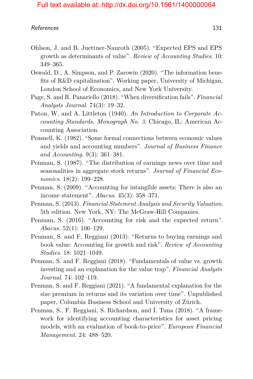- Ohlson, J. and B. Juettner-Nauroth (2005). "Expected EPS and EPS growth as determinants of value". *Review of Accounting Studies*. 10: 349–365.
- Oswald, D., A. Simpson, and P. Zarowin (2020). "The information benefits of R&D capitalization". Working paper, University of Michigan, London School of Economics, and New York University.
- Page, S. and R. Panariello (2018). "When diversification fails". *Financial Analysts Journal*. 74(3): 19–32.
- Paton, W. and A. Littleton (1940). *An Introduction to Corporate Accounting Standards, Monograph No. 3*. Chicago, IL: American Accounting Association.
- Peasnell, K. (1982). "Some formal connections between economic values and yields and accounting numbers". *Journal of Business Finance and Accounting*. 9(3): 361–381.
- Penman, S. (1987). "The distribution of earnings news over time and seasonalities in aggregate stock returns". *Journal of Financial Economics*. 18(2): 199–228.
- Penman, S. (2009). "Accounting for intangible assets: There is also an income statement". *Abacus*. 45(3): 358–371.
- Penman, S. (2013). *Financial Statement Analysis and Security Valuation*. 5th edition. New York, NY: The McGraw-Hill Companies.
- Penman, S. (2016). "Accounting for risk and the expected return". *Abacus*. 52(1): 106–129.
- Penman, S. and F. Reggiani (2013). "Returns to buying earnings and book value: Accounting for growth and risk". *Review of Accounting Studies*. 18: 1021–1049.
- Penman, S. and F. Reggiani (2018). "Fundamentals of value vs. growth investing and an explanation for the value trap". *Financial Analysts Journal*. 74: 102–119.
- Penman, S. and F. Reggiani (2021). "A fundamental explanation for the size premium in returns and its variation over time". Unpublished paper, Columbia Business School and University of Zürich.
- Penman, S., F. Reggiani, S. Richardson, and İ. Tuna (2018). "A framework for identifying accounting characteristics for asset pricing models, with an evaluation of book-to-price". *European Financial Management*. 24: 488–520.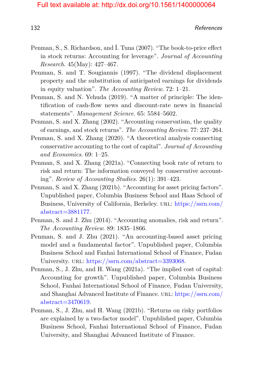- Penman, S., S. Richardson, and İ. Tuna (2007). "The book-to-price effect in stock returns: Accounting for leverage". *Journal of Accounting Research*. 45(May): 427–467.
- Penman, S. and T. Sougiannis (1997). "The dividend displacement property and the substitution of anticipated earnings for dividends in equity valuation". *The Accounting Review*. 72: 1–21.
- Penman, S. and N. Yehuda (2019). "A matter of principle: The identification of cash-flow news and discount-rate news in financial statements". *Management Science*. 65: 5584–5602.
- Penman, S. and X. Zhang (2002). "Accounting conservatism, the quality of earnings, and stock returns". *The Accounting Review*. 77: 237–264.
- Penman, S. and X. Zhang (2020). "A theoretical analysis connecting conservative accounting to the cost of capital". *Journal of Accounting and Economics*. 69: 1–25.
- Penman, S. and X. Zhang (2021a). "Connecting book rate of return to risk and return: The information conveyed by conservative accounting". *Review of Accounting Studies*. 26(1): 391–423.
- Penman, S. and X. Zhang (2021b). "Accounting for asset pricing factors". Unpublished paper, Columbia Business School and Haas School of Business, University of California, Berkeley. url: [https://ssrn.com/](https://ssrn.com/abstract=3881177) [abstract=3881177.](https://ssrn.com/abstract=3881177)
- Penman, S. and J. Zhu (2014). "Accounting anomalies, risk and return". *The Accounting Review*. 89: 1835–1866.
- Penman, S. and J. Zhu (2021). "An accounting-based asset pricing model and a fundamental factor". Unpublished paper, Columbia Business School and Fanhai International School of Finance, Fudan University. URL: [https://ssrn.com/abstract=3393068.](https://ssrn.com/abstract=3393068)
- Penman, S., J. Zhu, and H. Wang (2021a). "The implied cost of capital: Accounting for growth". Unpublished paper, Columbia Business School, Fanhai International School of Finance, Fudan University, and Shanghai Advanced Institute of Finance. URL: [https://ssrn.com/](https://ssrn.com/abstract=3470619) [abstract=3470619.](https://ssrn.com/abstract=3470619)
- Penman, S., J. Zhu, and H. Wang (2021b). "Returns on risky portfolios are explained by a two-factor model". Unpublished paper, Columbia Business School, Fanhai International School of Finance, Fudan University, and Shanghai Advanced Institute of Finance.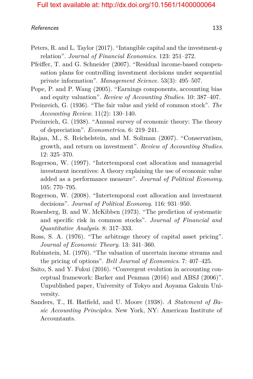- Peters, R. and L. Taylor (2017). "Intangible capital and the investment-*q* relation". *Journal of Financial Economics*. 123: 251–272.
- Pfeiffer, T. and G. Schneider (2007). "Residual income-based compensation plans for controlling investment decisions under sequential private information". *Management Science*. 53(3): 495–507.
- Pope, P. and P. Wang (2005). "Earnings components, accounting bias and equity valuation". *Review of Accounting Studies*. 10: 387–407.
- Preinreich, G. (1936). "The fair value and yield of common stock". *The Accounting Review*. 11(2): 130–140.
- Preinreich, G. (1938). "Annual survey of economic theory: The theory of depreciation". *Econometrica*. 6: 219–241.
- Rajan, M., S. Reichelstein, and M. Soliman (2007). "Conservatism, growth, and return on investment". *Review of Accounting Studies*. 12: 325–370.
- Rogerson, W. (1997). "Intertemporal cost allocation and managerial investment incentives: A theory explaining the use of economic value added as a performance measure". *Journal of Political Economy*. 105: 770–795.
- Rogerson, W. (2008). "Intertemporal cost allocation and investment decisions". *Journal of Political Economy*. 116: 931–950.
- <span id="page-28-0"></span>Rosenberg, B. and W. McKibben (1973). "The prediction of systematic and specific risk in common stocks". *Journal of Financial and Quantitative Analysis*. 8: 317–333.
- Ross, S. A. (1976). "The arbitrage theory of capital asset pricing". *Journal of Economic Theory*. 13: 341–360.
- Rubinstein, M. (1976). "The valuation of uncertain income streams and the pricing of options". *Bell Journal of Economics*. 7: 407–425.
- Saito, S. and Y. Fukui (2016). "Convergent evolution in accounting conceptual framework: Barker and Penman (2016) and ABSJ (2006)". Unpublished paper, University of Tokyo and Aoyama Gakuin University.
- Sanders, T., H. Hatfield, and U. Moore (1938). *A Statement of Basic Accounting Principles*. New York, NY: American Institute of Accountants.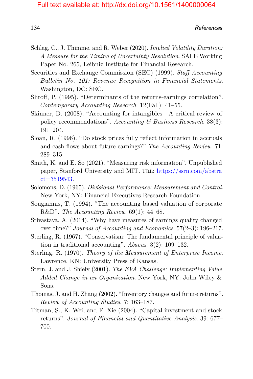- Schlag, C., J. Thimme, and R. Weber (2020). *Implied Volatility Duration: A Measure for the Timing of Uncertainty Resolution*. SAFE Working Paper No. 265, Leibniz Institute for Financial Research.
- Securities and Exchange Commission (SEC) (1999). *Staff Accounting Bulletin No. 101: Revenue Recognition in Financial Statements*. Washington, DC: SEC.
- Shroff, P. (1995). "Determinants of the returns-earnings correlation". *Contemporary Accounting Research*. 12(Fall): 41–55.
- Skinner, D. (2008). "Accounting for intangibles—A critical review of policy recommendations". *Accounting & Business Research*. 38(3): 191–204.
- Sloan, R. (1996). "Do stock prices fully reflect information in accruals and cash flows about future earnings?" *The Accounting Review*. 71: 289–315.
- Smith, K. and E. So (2021). "Measuring risk information". Unpublished paper, Stanford University and MIT. url: [https://ssrn.com/abstra](https://ssrn.com/abstract=3519543) [ct=3519543.](https://ssrn.com/abstract=3519543)
- Solomons, D. (1965). *Divisional Performance: Measurement and Control*. New York, NY: Financial Executives Research Foundation.
- Sougiannis, T. (1994). "The accounting based valuation of corporate R&D". *The Accounting Review*. 69(1): 44–68.
- Srivastava, A. (2014). "Why have measures of earnings quality changed over time?" *Journal of Accounting and Economics*. 57(2–3): 196–217.
- Sterling, R. (1967). "Conservatism: The fundamental principle of valuation in traditional accounting". *Abacus*. 3(2): 109–132.
- Sterling, R. (1970). *Theory of the Measurement of Enterprise Income*. Lawrence, KN: University Press of Kansas.
- Stern, J. and J. Shiely (2001). *The EVA Challenge: Implementing Value Added Change in an Organization*. New York, NY: John Wiley & Sons.
- Thomas, J. and H. Zhang (2002). "Inventory changes and future returns". *Review of Accounting Studies*. 7: 163–187.
- Titman, S., K. Wei, and F. Xie (2004). "Capital investment and stock returns". *Journal of Financial and Quantitative Analysis*. 39: 677– 700.